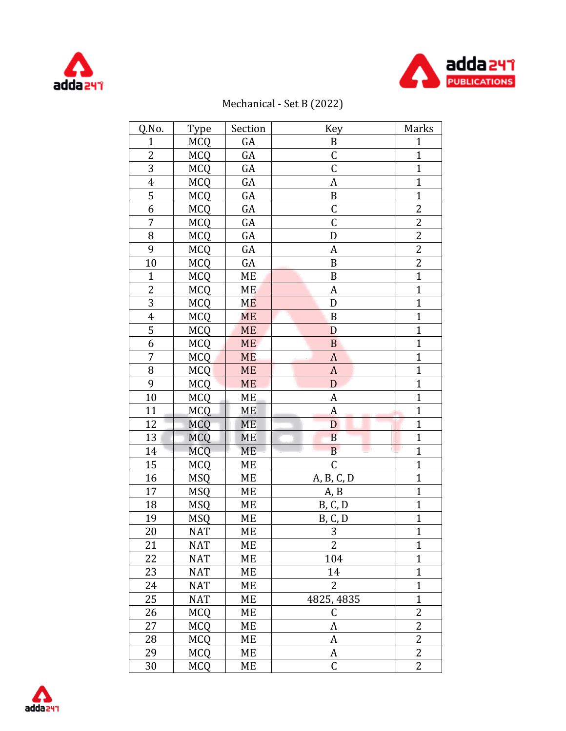



## Mechanical - Set B (2022)

| Q.No.            | Type       | Section   | <b>Key</b>                     | Marks          |
|------------------|------------|-----------|--------------------------------|----------------|
| $\overline{1}$   | <b>MCQ</b> | GA        | $\, {\bf B}$                   | $\mathbf{1}$   |
| $\overline{2}$   | <b>MCQ</b> | GA        | $\mathsf C$                    | $\overline{1}$ |
| $\overline{3}$   | <b>MCQ</b> | GA        | $\overline{\mathsf{C}}$        | $\overline{1}$ |
| $\boldsymbol{4}$ | <b>MCQ</b> | GA        | A                              | $\overline{1}$ |
| 5                | <b>MCQ</b> | GA        | $\, {\bf B}$                   | $\overline{1}$ |
| 6                | <b>MCQ</b> | GA        | $\mathsf C$                    | $\overline{2}$ |
| $\overline{7}$   | <b>MCQ</b> | GA        | $\overline{C}$                 | $\overline{2}$ |
| 8                | <b>MCQ</b> | GA        | D                              | $\overline{2}$ |
| 9                | <b>MCQ</b> | GA        | A                              | $\overline{2}$ |
| 10               | <b>MCQ</b> | GA        | $\, {\bf B}$                   | $\overline{c}$ |
| $\mathbf{1}$     | <b>MCQ</b> | ME        | $\, {\bf B}$                   | $\mathbf{1}$   |
| $\overline{2}$   | <b>MCQ</b> | <b>ME</b> | A                              | $\mathbf{1}$   |
| 3                | <b>MCQ</b> | <b>ME</b> | D                              | $\mathbf{1}$   |
| $\overline{4}$   | <b>MCQ</b> | <b>ME</b> | $\, {\bf B}$                   | $\overline{1}$ |
| $\overline{5}$   | <b>MCQ</b> | <b>ME</b> | D                              | $\overline{1}$ |
| 6                | <b>MCQ</b> | <b>ME</b> | $\mathbf{B}$                   | $\mathbf{1}$   |
| $\overline{7}$   | <b>MCQ</b> | <b>ME</b> | $\boldsymbol{A}$               | $\mathbf{1}$   |
| 8                | <b>MCQ</b> | ME        | A                              | $\mathbf{1}$   |
| 9                | <b>MCQ</b> | <b>ME</b> | $\mathbf{D}$                   | $\overline{1}$ |
| 10               | <b>MCQ</b> | ME        | A                              | $\overline{1}$ |
| 11               | <b>MCQ</b> | ME        | $\boldsymbol{A}$               | $\overline{1}$ |
| 12               | <b>MCQ</b> | <b>ME</b> | $\overline{D}$                 | $\overline{1}$ |
| 13               | <b>MCQ</b> | ME        | $\overline{B}$                 | $\mathbf{1}$   |
| 14               | <b>MCQ</b> | ME        | $\, {\bf B}$                   | $\mathbf{1}$   |
| 15               | <b>MCQ</b> | ME        | $\mathsf C$                    | $\mathbf{1}$   |
| 16               | <b>MSQ</b> | ME        | A, B, C, D                     | $\mathbf{1}$   |
| 17               | <b>MSQ</b> | ME        | A, B                           | $\mathbf{1}$   |
| 18               | <b>MSQ</b> | ME        | <b>B</b> , <b>C</b> , <b>D</b> | $\mathbf{1}$   |
| 19               | <b>MSQ</b> | ME        | B, C, D                        | $\overline{1}$ |
| 20               | <b>NAT</b> | ME        | 3                              | $\mathbf{1}$   |
| 21               | <b>NAT</b> | МE        | 2                              | $\mathbf{1}$   |
| 22               | <b>NAT</b> | ME        | 104                            | $\mathbf{1}$   |
| 23               | <b>NAT</b> | ME        | 14                             | $\overline{1}$ |
| 24               | <b>NAT</b> | МE        | 2                              | $\mathbf{1}$   |
| 25               | <b>NAT</b> | ME        | 4825, 4835                     | $\mathbf{1}$   |
| 26               | <b>MCQ</b> | МE        | C                              | $\overline{2}$ |
| 27               | <b>MCQ</b> | МE        | A                              | 2              |
| 28               | <b>MCQ</b> | МE        | A                              | $\overline{2}$ |
| 29               | <b>MCQ</b> | МE        | A                              | 2              |
| 30               | <b>MCQ</b> | ME        | $\mathsf C$                    | $\overline{c}$ |